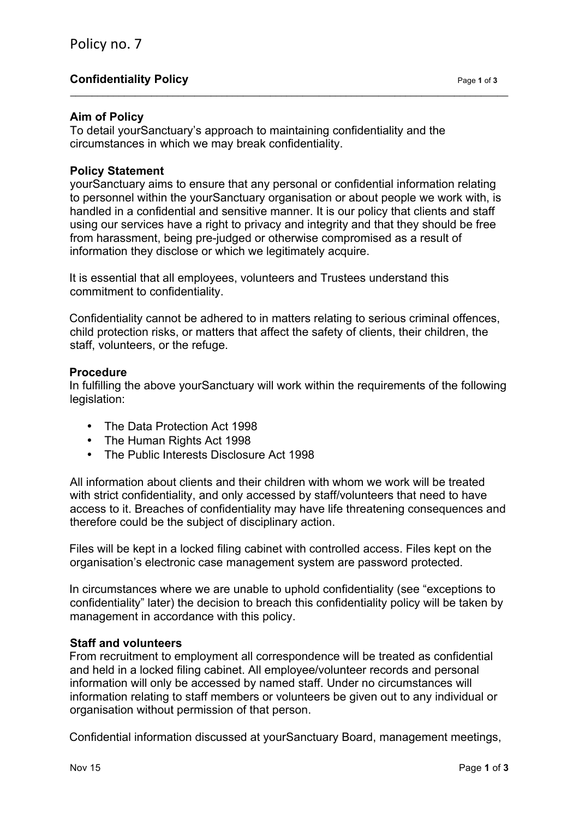# **Confidentiality Policy Page 1** of **3**

### **Aim of Policy**

To detail yourSanctuary's approach to maintaining confidentiality and the circumstances in which we may break confidentiality.

### **Policy Statement**

yourSanctuary aims to ensure that any personal or confidential information relating to personnel within the yourSanctuary organisation or about people we work with, is handled in a confidential and sensitive manner. It is our policy that clients and staff using our services have a right to privacy and integrity and that they should be free from harassment, being pre-judged or otherwise compromised as a result of information they disclose or which we legitimately acquire.

 $\_$  , and the set of the set of the set of the set of the set of the set of the set of the set of the set of the set of the set of the set of the set of the set of the set of the set of the set of the set of the set of th

It is essential that all employees, volunteers and Trustees understand this commitment to confidentiality.

Confidentiality cannot be adhered to in matters relating to serious criminal offences, child protection risks, or matters that affect the safety of clients, their children, the staff, volunteers, or the refuge.

#### **Procedure**

In fulfilling the above yourSanctuary will work within the requirements of the following legislation:

- The Data Protection Act 1998
- The Human Rights Act 1998
- The Public Interests Disclosure Act 1998

All information about clients and their children with whom we work will be treated with strict confidentiality, and only accessed by staff/volunteers that need to have access to it. Breaches of confidentiality may have life threatening consequences and therefore could be the subject of disciplinary action.

Files will be kept in a locked filing cabinet with controlled access. Files kept on the organisation's electronic case management system are password protected.

In circumstances where we are unable to uphold confidentiality (see "exceptions to confidentiality" later) the decision to breach this confidentiality policy will be taken by management in accordance with this policy.

### **Staff and volunteers**

From recruitment to employment all correspondence will be treated as confidential and held in a locked filing cabinet. All employee/volunteer records and personal information will only be accessed by named staff. Under no circumstances will information relating to staff members or volunteers be given out to any individual or organisation without permission of that person.

Confidential information discussed at yourSanctuary Board, management meetings,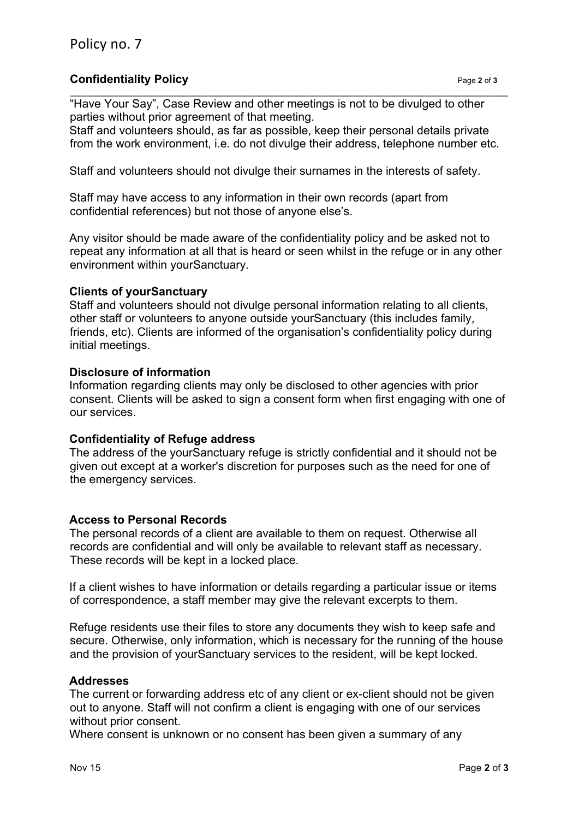## **Confidentiality Policy Page 2** of **3**

"Have Your Say", Case Review and other meetings is not to be divulged to other parties without prior agreement of that meeting.

Staff and volunteers should, as far as possible, keep their personal details private from the work environment, i.e. do not divulge their address, telephone number etc.

 $\_$  , and the set of the set of the set of the set of the set of the set of the set of the set of the set of the set of the set of the set of the set of the set of the set of the set of the set of the set of the set of th

Staff and volunteers should not divulge their surnames in the interests of safety.

Staff may have access to any information in their own records (apart from confidential references) but not those of anyone else's.

Any visitor should be made aware of the confidentiality policy and be asked not to repeat any information at all that is heard or seen whilst in the refuge or in any other environment within yourSanctuary.

### **Clients of yourSanctuary**

Staff and volunteers should not divulge personal information relating to all clients, other staff or volunteers to anyone outside yourSanctuary (this includes family, friends, etc). Clients are informed of the organisation's confidentiality policy during initial meetings.

### **Disclosure of information**

Information regarding clients may only be disclosed to other agencies with prior consent. Clients will be asked to sign a consent form when first engaging with one of our services.

## **Confidentiality of Refuge address**

The address of the yourSanctuary refuge is strictly confidential and it should not be given out except at a worker's discretion for purposes such as the need for one of the emergency services.

### **Access to Personal Records**

The personal records of a client are available to them on request. Otherwise all records are confidential and will only be available to relevant staff as necessary. These records will be kept in a locked place.

If a client wishes to have information or details regarding a particular issue or items of correspondence, a staff member may give the relevant excerpts to them.

Refuge residents use their files to store any documents they wish to keep safe and secure. Otherwise, only information, which is necessary for the running of the house and the provision of yourSanctuary services to the resident, will be kept locked.

### **Addresses**

The current or forwarding address etc of any client or ex-client should not be given out to anyone. Staff will not confirm a client is engaging with one of our services without prior consent.

Where consent is unknown or no consent has been given a summary of any